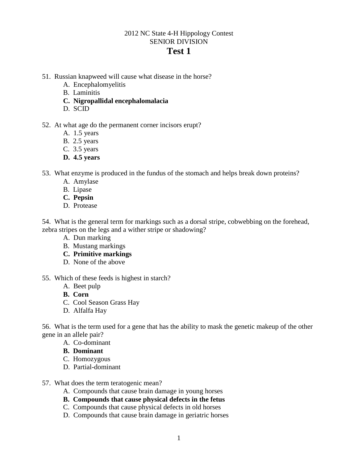# 2012 NC State 4-H Hippology Contest SENIOR DIVISION

# **Test 1**

- 51. Russian knapweed will cause what disease in the horse?
	- A. Encephalomyelitis
	- B. Laminitis
	- **C. Nigropallidal encephalomalacia**
	- D. SCID

### 52. At what age do the permanent corner incisors erupt?

- A. 1.5 years
- B. 2.5 years
- C. 3.5 years
- **D. 4.5 years**

53. What enzyme is produced in the fundus of the stomach and helps break down proteins?

- A. Amylase
- B. Lipase
- **C. Pepsin**
- D. Protease

54. What is the general term for markings such as a dorsal stripe, cobwebbing on the forehead, zebra stripes on the legs and a wither stripe or shadowing?

- A. Dun marking
- B. Mustang markings
- **C. Primitive markings**
- D. None of the above
- 55. Which of these feeds is highest in starch?
	- A. Beet pulp
	- **B. Corn**
	- C. Cool Season Grass Hay
	- D. Alfalfa Hay

56. What is the term used for a gene that has the ability to mask the genetic makeup of the other gene in an allele pair?

- A. Co-dominant
- **B. Dominant**
- C. Homozygous
- D. Partial-dominant
- 57. What does the term teratogenic mean?
	- A. Compounds that cause brain damage in young horses
	- **B. Compounds that cause physical defects in the fetus**
	- C. Compounds that cause physical defects in old horses
	- D. Compounds that cause brain damage in geriatric horses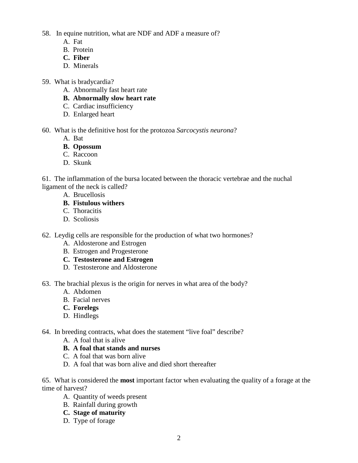58. In equine nutrition, what are NDF and ADF a measure of?

- A. Fat
- B. Protein
- **C. Fiber**
- D. Minerals
- 59. What is bradycardia?
	- A. Abnormally fast heart rate
	- **B. Abnormally slow heart rate**
	- C. Cardiac insufficiency
	- D. Enlarged heart

### 60. What is the definitive host for the protozoa *Sarcocystis neurona*?

- A. Bat
- **B. Opossum**
- C. Raccoon
- D. Skunk

61. The inflammation of the bursa located between the thoracic vertebrae and the nuchal ligament of the neck is called?

- A. Brucellosis
- **B. Fistulous withers**
- C. Thoracitis
- D. Scoliosis
- 62. Leydig cells are responsible for the production of what two hormones?
	- A. Aldosterone and Estrogen
	- B. Estrogen and Progesterone
	- **C. Testosterone and Estrogen**
	- D. Testosterone and Aldosterone

63. The brachial plexus is the origin for nerves in what area of the body?

- A. Abdomen
- B. Facial nerves
- **C. Forelegs**
- D. Hindlegs

64. In breeding contracts, what does the statement "live foal" describe?

- A. A foal that is alive
- **B. A foal that stands and nurses**
- C. A foal that was born alive
- D. A foal that was born alive and died short thereafter

65. What is considered the **most** important factor when evaluating the quality of a forage at the time of harvest?

- A. Quantity of weeds present
- B. Rainfall during growth
- **C. Stage of maturity**
- D. Type of forage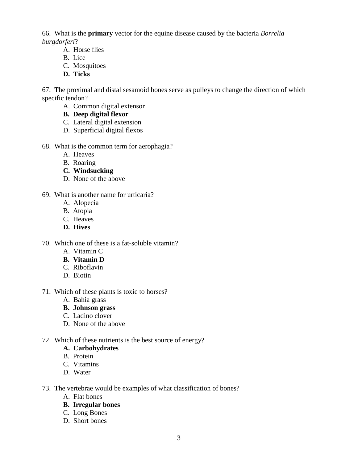66. What is the **primary** vector for the equine disease caused by the bacteria *Borrelia burgdorferi*?

- A. Horse flies
- B. Lice
- C. Mosquitoes
- **D. Ticks**

67. The proximal and distal sesamoid bones serve as pulleys to change the direction of which specific tendon?

- A. Common digital extensor
- **B. Deep digital flexor**
- C. Lateral digital extension
- D. Superficial digital flexos
- 68. What is the common term for aerophagia?
	- A. Heaves
	- B. Roaring
	- **C. Windsucking**
	- D. None of the above

## 69. What is another name for urticaria?

- A. Alopecia
- B. Atopia
- C. Heaves
- **D. Hives**
- 70. Which one of these is a fat-soluble vitamin?
	- A. Vitamin C
	- **B. Vitamin D**
	- C.Riboflavin
	- D.Biotin
- 71. Which of these plants is toxic to horses?
	- A. Bahia grass
	- **B. Johnson grass**
	- C. Ladino clover
	- D. None of the above
- 72. Which of these nutrients is the best source of energy?

## **A. Carbohydrates**

- B. Protein
- C. Vitamins
- D. Water
- 73. The vertebrae would be examples of what classification of bones?
	- A. Flat bones
	- **B. Irregular bones**
	- C. Long Bones
	- D. Short bones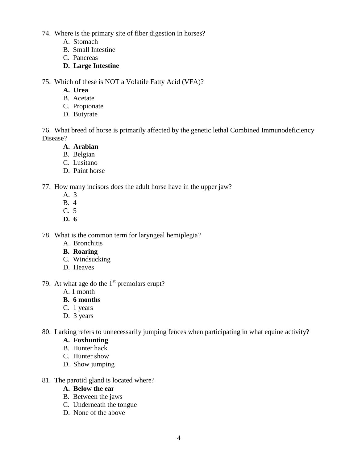74. Where is the primary site of fiber digestion in horses?

- A. Stomach
- B. Small Intestine
- C. Pancreas
- **D. Large Intestine**

75. Which of these is NOT a Volatile Fatty Acid (VFA)?

- **A. Urea**
- B. Acetate
- C. Propionate
- D. Butyrate

76. What breed of horse is primarily affected by the genetic lethal Combined Immunodeficiency Disease?

## **A. Arabian**

- B. Belgian
- C. Lusitano
- D. Paint horse

77. How many incisors does the adult horse have in the upper jaw?

- A. 3
- B. 4
- C. 5
- **D. 6**

78. What is the common term for laryngeal hemiplegia?

- A. Bronchitis
- **B. Roaring**
- C. Windsucking
- D. Heaves
- 79. At what age do the  $1<sup>st</sup>$  premolars erupt?
	- A. 1 month
	- **B. 6 months**
	- C. 1 years
	- D. 3 years

80. Larking refers to unnecessarily jumping fences when participating in what equine activity?

- **A. Foxhunting**
- B. Hunter hack
- C. Hunter show
- D. Show jumping
- 81. The parotid gland is located where?

### **A. Below the ear**

- B. Between the jaws
- C. Underneath the tongue
- D. None of the above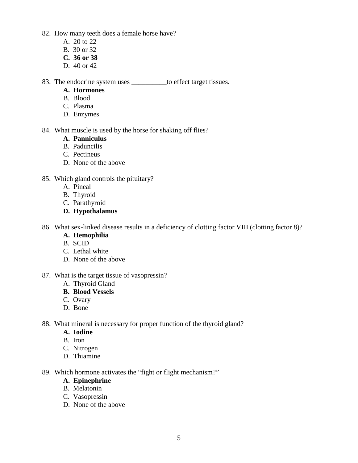82. How many teeth does a female horse have?

- A. 20 to 22
- B. 30 or 32
- **C. 36 or 38**
- D. 40 or 42

83. The endocrine system uses \_\_\_\_\_\_\_\_\_\_to effect target tissues.

- **A. Hormones**
- B. Blood
- C. Plasma
- D. Enzymes

84. What muscle is used by the horse for shaking off flies?

- **A. Panniculus**
- B. Paduncilis
- C. Pectineus
- D. None of the above

### 85. Which gland controls the pituitary?

- A. Pineal
- B. Thyroid
- C. Parathyroid
- **D. Hypothalamus**

86. What sex-linked disease results in a deficiency of clotting factor VIII (clotting factor 8)?

- **A. Hemophilia**
- B. SCID
- C. Lethal white
- D. None of the above

#### 87. What is the target tissue of vasopressin?

- A. Thyroid Gland
- **B. Blood Vessels**
- C. Ovary
- D. Bone
- 88. What mineral is necessary for proper function of the thyroid gland?
	- **A. Iodine**
	- B. Iron
	- C. Nitrogen
	- D. Thiamine

89. Which hormone activates the "fight or flight mechanism?"

### **A. Epinephrine**

- B. Melatonin
- C. Vasopressin
- D. None of the above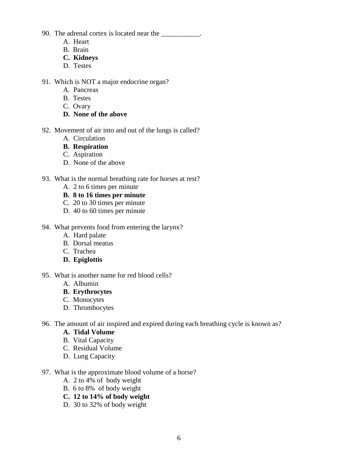90. The adrenal cortex is located near the \_\_\_\_\_\_\_\_\_\_\_.

- A. Heart
- B. Brain
- **C. Kidneys**
- D. Testes
- 91. Which is NOT a major endocrine organ?
	- A. Pancreas
	- B. Testes
	- C. Ovary
	- **D. None of the above**
- 92. Movement of air into and out of the lungs is called?
	- A. Circulation
	- **B. Respiration**
	- C. Aspiration
	- D. None of the above
- 93. What is the normal breathing rate for horses at rest?
	- A. 2 to 6 times per minute
	- **B. 8 to 16 times per minute**
	- C. 20 to 30 times per minute
	- D. 40 to 60 times per minute
- 94. What prevents food from entering the larynx?
	- A. Hard palate
	- B. Dorsal meatus
	- C. Trachea
	- **D. Epiglottis**
- 95. What is another name for red blood cells?
	- A. Albumin
	- **B. Erythrocytes**
	- C. Monocytes
	- D. Thrombocytes
- 96. The amount of air inspired and expired during each breathing cycle is known as?
	- **A. Tidal Volume**
	- B. Vital Capacity
	- C. Residual Volume
	- D. Lung Capacity
- 97. What is the approximate blood volume of a horse?
	- A. 2 to 4% of body weight
	- B. 6 to 8% of body weight
	- **C. 12 to 14% of body weight**
	- D. 30 to 32% of body weight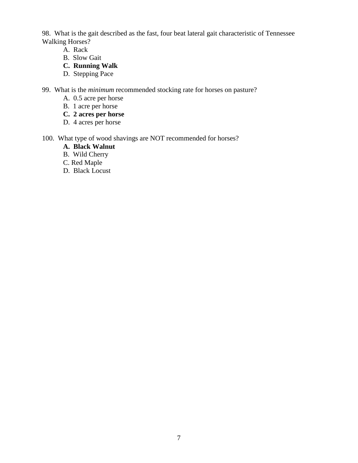98. What is the gait described as the fast, four beat lateral gait characteristic of Tennessee Walking Horses?

- A. Rack
- B. Slow Gait
- **C. Running Walk**
- D. Stepping Pace
- 99. What is the *minimum* recommended stocking rate for horses on pasture?
	- A. 0.5 acre per horse
	- B. 1 acre per horse
	- **C. 2 acres per horse**
	- D. 4 acres per horse
- 100. What type of wood shavings are NOT recommended for horses?
	- **A. Black Walnut**
	- B. Wild Cherry
	- C. Red Maple
	- D. Black Locust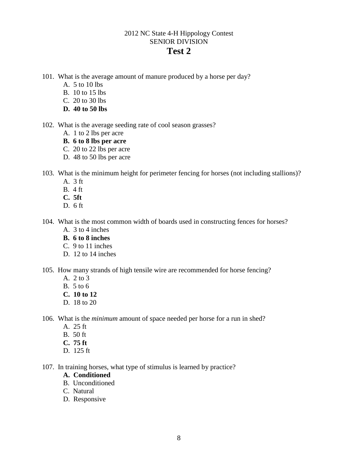# 2012 NC State 4-H Hippology Contest SENIOR DIVISION

## **Test 2**

- 101. What is the average amount of manure produced by a horse per day?
	- A. 5 to 10 lbs
	- B. 10 to 15 lbs
	- C. 20 to 30 lbs
	- **D. 40 to 50 lbs**
- 102. What is the average seeding rate of cool season grasses?
	- A. 1 to 2 lbs per acre
	- **B. 6 to 8 lbs per acre**
	- C. 20 to 22 lbs per acre
	- D. 48 to 50 lbs per acre
- 103. What is the minimum height for perimeter fencing for horses (not including stallions)?
	- A. 3 ft
	- B. 4 ft
	- **C. 5ft**
	- D. 6 ft
- 104. What is the most common width of boards used in constructing fences for horses?
	- A. 3 to 4 inches
	- **B. 6 to 8 inches**
	- C. 9 to 11 inches
	- D. 12 to 14 inches
- 105. How many strands of high tensile wire are recommended for horse fencing?
	- A. 2 to 3
	- B. 5 to 6
	- **C. 10 to 12**
	- D. 18 to 20
- 106. What is the *minimum* amount of space needed per horse for a run in shed?
	- A. 25 ft
	- B. 50 ft
	- **C. 75 ft**
	- D. 125 ft
- 107. In training horses, what type of stimulus is learned by practice?
	- **A. Conditioned**
	- B. Unconditioned
	- C. Natural
	- D. Responsive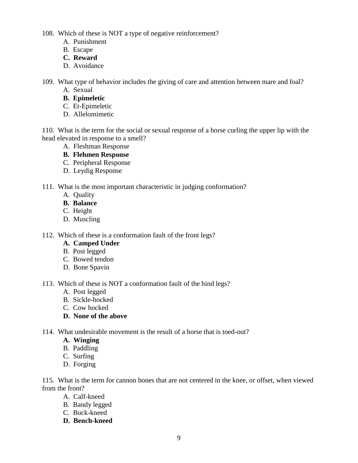108. Which of these is NOT a type of negative reinforcement?

- A. Punishment
- B. Escape
- **C. Reward**
- D. Avoidance

109. What type of behavior includes the giving of care and attention between mare and foal?

- A. Sexual
- **B. Epimeletic**
- C. Et-Epimeletic
- D. Allelomimetic

110. What is the term for the social or sexual response of a horse curling the upper lip with the head elevated in response to a smell?

- A. Fleshman Response
- **B. Flehmen Response**
- C. Peripheral Response
- D. Leydig Response
- 111. What is the most important characteristic in judging conformation?
	- A. Quality
	- **B. Balance**
	- C. Height
	- D. Muscling

112. Which of these is a conformation fault of the front legs?

- **A. Camped Under**
- B. Post legged
- C. Bowed tendon
- D. Bone Spavin

113. Which of these is NOT a conformation fault of the hind legs?

- A. Post legged
- B. Sickle-hocked
- C. Cow hocked
- **D. None of the above**

114. What undesirable movement is the result of a horse that is toed-out?

- **A. Winging**
- B. Paddling
- C. Surfing
- D. Forging

115. What is the term for cannon bones that are not centered in the knee, or offset, when viewed from the front?

- A. Calf-kneed
- B. Bandy legged
- C. Buck-kneed
- **D. Bench-kneed**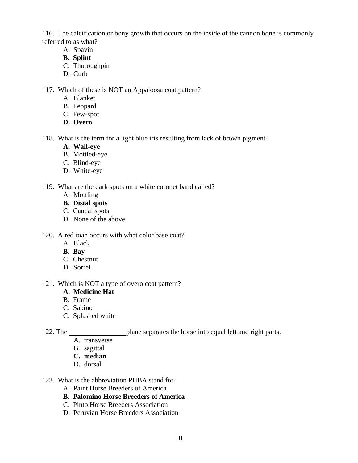116. The calcification or bony growth that occurs on the inside of the cannon bone is commonly referred to as what?

- A. Spavin
- **B. Splint**
- C. Thoroughpin
- D. Curb

117. Which of these is NOT an Appaloosa coat pattern?

- A. Blanket
- B. Leopard
- C. Few-spot
- **D. Overo**

118. What is the term for a light blue iris resulting from lack of brown pigment?

- **A. Wall-eye**
- B. Mottled-eye
- C. Blind-eye
- D. White-eye

### 119. What are the dark spots on a white coronet band called?

- A. Mottling
- **B. Distal spots**
- C. Caudal spots
- D. None of the above
- 120. A red roan occurs with what color base coat?
	- A. Black
	- **B. Bay**
	- C. Chestnut
	- D. Sorrel

#### 121. Which is NOT a type of overo coat pattern?

#### **A. Medicine Hat**

- B. Frame
- C. Sabino
- C. Splashed white

122. The plane separates the horse into equal left and right parts.

- A. transverse
- B. sagittal
- **C. median**
- D. dorsal
- 123. What is the abbreviation PHBA stand for?
	- A. Paint Horse Breeders of America
	- **B. Palomino Horse Breeders of America**
	- C. Pinto Horse Breeders Association
	- D. Peruvian Horse Breeders Association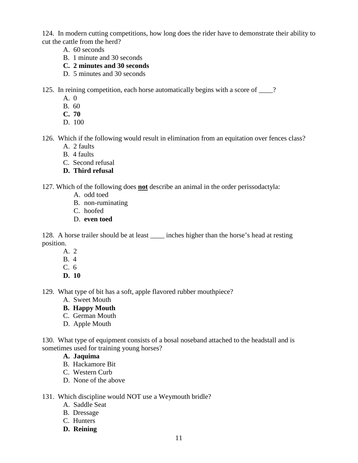124. In modern cutting competitions, how long does the rider have to demonstrate their ability to cut the cattle from the herd?

- A. 60 seconds
- B. 1 minute and 30 seconds
- **C. 2 minutes and 30 seconds**
- D. 5 minutes and 30 seconds

125. In reining competition, each horse automatically begins with a score of \_\_\_\_?

- A. 0
- B. 60
- **C. 70**
- D. 100
- 126. Which if the following would result in elimination from an equitation over fences class?
	- A. 2 faults
	- B. 4 faults
	- C. Second refusal
	- **D. Third refusal**

127. Which of the following does **not** describe an animal in the order perissodactyla:

- A. odd toed
- B. non-ruminating
- C. hoofed
- D. **even toed**

128. A horse trailer should be at least \_\_\_\_\_ inches higher than the horse's head at resting position.

- A. 2
- B. 4
- C. 6
- **D. 10**

129. What type of bit has a soft, apple flavored rubber mouthpiece?

- A. Sweet Mouth
- **B. Happy Mouth**
- C. German Mouth
- D. Apple Mouth

130. What type of equipment consists of a bosal noseband attached to the headstall and is sometimes used for training young horses?

- **A. Jaquima**
- B. Hackamore Bit
- C. Western Curb
- D. None of the above

### 131. Which discipline would NOT use a Weymouth bridle?

- A. Saddle Seat
- B. Dressage
- C. Hunters
- **D. Reining**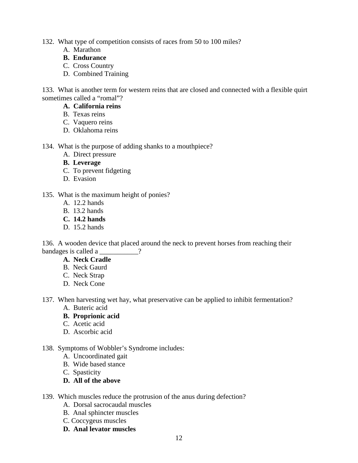- 132. What type of competition consists of races from 50 to 100 miles?
	- A. Marathon
	- **B. Endurance**
	- C. Cross Country
	- D. Combined Training

133. What is another term for western reins that are closed and connected with a flexible quirt sometimes called a "romal"?

- **A. California reins**
- B. Texas reins
- C. Vaquero reins
- D. Oklahoma reins
- 134. What is the purpose of adding shanks to a mouthpiece?
	- A. Direct pressure
	- **B. Leverage**
	- C. To prevent fidgeting
	- D. Evasion
- 135. What is the maximum height of ponies?
	- A. 12.2 hands
	- B. 13.2 hands
	- **C. 14.2 hands**
	- D. 15.2 hands

136. A wooden device that placed around the neck to prevent horses from reaching their bandages is called a  $\qquad$  ?

- **A. Neck Cradle**
- B. Neck Gaurd
- C. Neck Strap
- D. Neck Cone
- 137. When harvesting wet hay, what preservative can be applied to inhibit fermentation?
	- A. Buteric acid
	- **B. Proprionic acid**
	- C. Acetic acid
	- D. Ascorbic acid

### 138. Symptoms of Wobbler's Syndrome includes:

- A. Uncoordinated gait
- B. Wide based stance
- C. Spasticity

## **D. All of the above**

- 139. Which muscles reduce the protrusion of the anus during defection?
	- A. Dorsal sacrocaudal muscles
	- B. Anal sphincter muscles
	- C. Coccygeus muscles
	- **D. Anal levator muscles**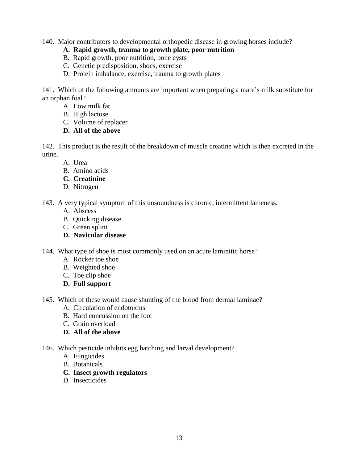140. Major contributors to developmental orthopedic disease in growing horses include?

### **A. Rapid growth, trauma to growth plate, poor nutrition**

- B. Rapid growth, poor nutrition, bone cysts
- C. Genetic predisposition, shoes, exercise
- D. Protein imbalance, exercise, trauma to growth plates

141. Which of the following amounts are important when preparing a mare's milk substitute for an orphan foal?

- A. Low milk fat
- B. High lactose
- C. Volume of replacer

## **D. All of the above**

142. This product is the result of the breakdown of muscle creatine which is then excreted in the urine.

- A. Urea
- B. Amino acids
- **C. Creatinine**
- D. Nitrogen
- 143. A very typical symptom of this unsoundness is chronic, intermittent lameness.
	- A. Abscess
	- B. Quicking disease
	- C. Green splint
	- **D. Navicular disease**
- 144. What type of shoe is most commonly used on an acute laminitic horse?
	- A. Rocker toe shoe
	- B. Weighted shoe
	- C. Toe clip shoe
	- **D. Full support**
- 145. Which of these would cause shunting of the blood from dermal laminae?
	- A. Circulation of endotoxins
	- B. Hard concussion on the foot
	- C. Grain overload
	- **D. All of the above**
- 146. Which pesticide inhibits egg hatching and larval development?
	- A. Fungicides
	- B. Botanicals
	- **C. Insect growth regulators**
	- D. Insecticides